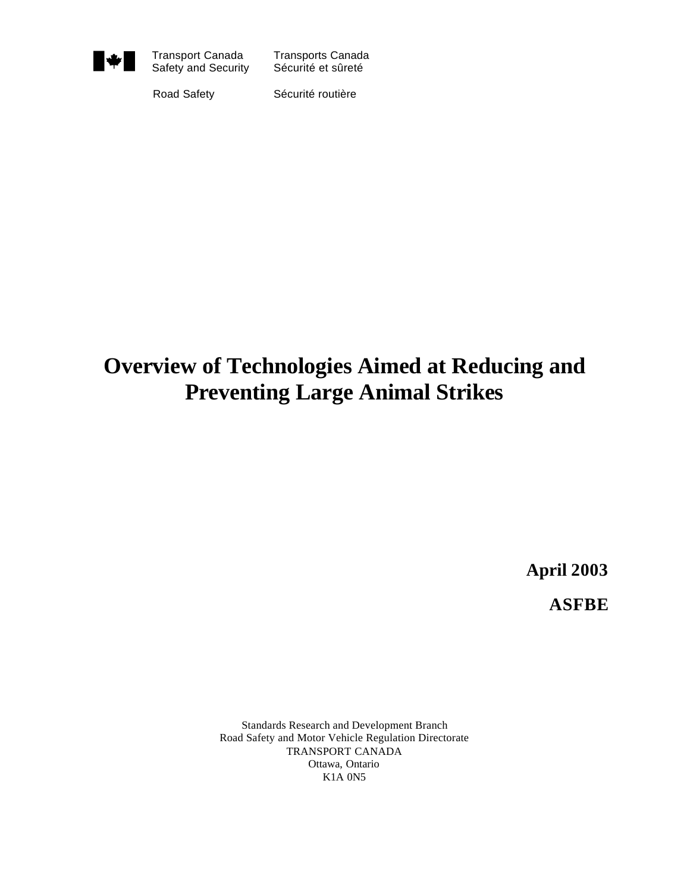

Transport Canada Transports Canada<br>Safety and Security Sécurité et sûreté Safety and Security

Road Safety Sécurité routière

# **Overview of Technologies Aimed at Reducing and Preventing Large Animal Strikes**

**April 2003**

**ASFBE**

Standards Research and Development Branch Road Safety and Motor Vehicle Regulation Directorate TRANSPORT CANADA Ottawa, Ontario K1A 0N5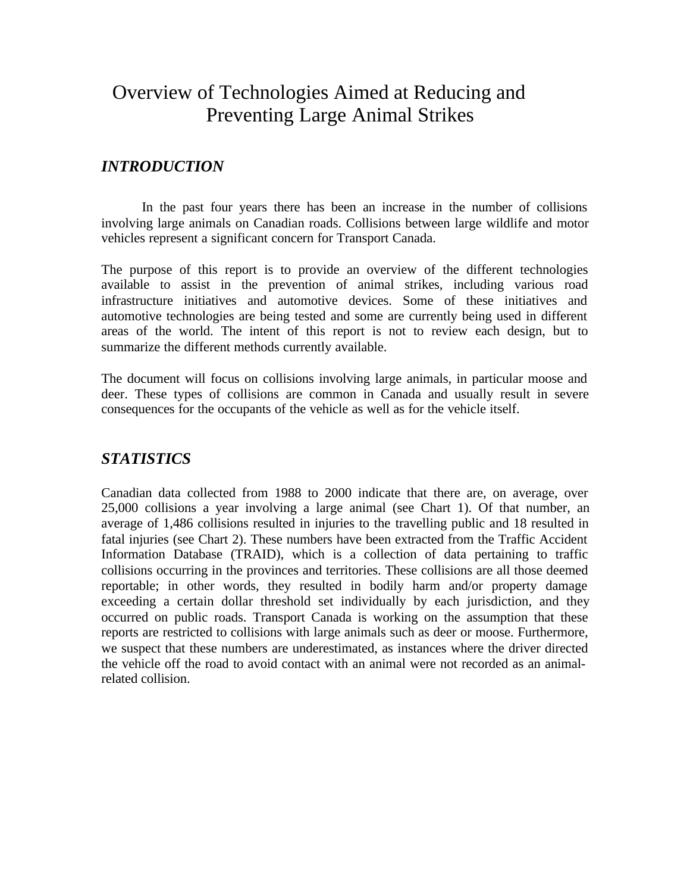## Overview of Technologies Aimed at Reducing and Preventing Large Animal Strikes

## *INTRODUCTION*

In the past four years there has been an increase in the number of collisions involving large animals on Canadian roads. Collisions between large wildlife and motor vehicles represent a significant concern for Transport Canada.

The purpose of this report is to provide an overview of the different technologies available to assist in the prevention of animal strikes, including various road infrastructure initiatives and automotive devices. Some of these initiatives and automotive technologies are being tested and some are currently being used in different areas of the world. The intent of this report is not to review each design, but to summarize the different methods currently available.

The document will focus on collisions involving large animals, in particular moose and deer. These types of collisions are common in Canada and usually result in severe consequences for the occupants of the vehicle as well as for the vehicle itself.

#### *STATISTICS*

Canadian data collected from 1988 to 2000 indicate that there are, on average, over 25,000 collisions a year involving a large animal (see Chart 1). Of that number, an average of 1,486 collisions resulted in injuries to the travelling public and 18 resulted in fatal injuries (see Chart 2). These numbers have been extracted from the Traffic Accident Information Database (TRAID), which is a collection of data pertaining to traffic collisions occurring in the provinces and territories. These collisions are all those deemed reportable; in other words, they resulted in bodily harm and/or property damage exceeding a certain dollar threshold set individually by each jurisdiction, and they occurred on public roads. Transport Canada is working on the assumption that these reports are restricted to collisions with large animals such as deer or moose. Furthermore, we suspect that these numbers are underestimated, as instances where the driver directed the vehicle off the road to avoid contact with an animal were not recorded as an animalrelated collision.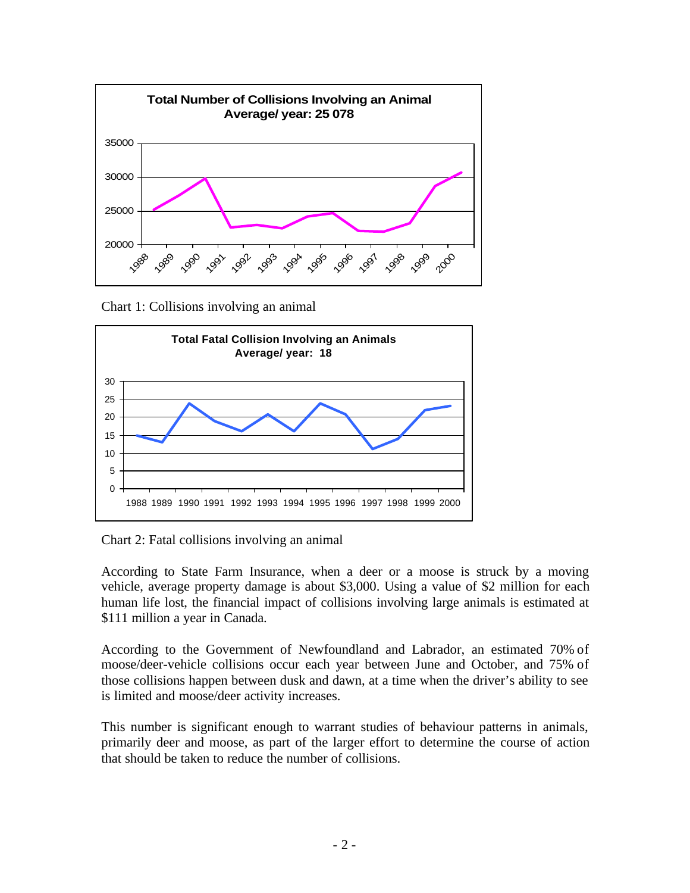

Chart 1: Collisions involving an animal



Chart 2: Fatal collisions involving an animal

According to State Farm Insurance, when a deer or a moose is struck by a moving vehicle, average property damage is about \$3,000. Using a value of \$2 million for each human life lost, the financial impact of collisions involving large animals is estimated at \$111 million a year in Canada.

According to the Government of Newfoundland and Labrador, an estimated 70% of moose/deer-vehicle collisions occur each year between June and October, and 75% of those collisions happen between dusk and dawn, at a time when the driver's ability to see is limited and moose/deer activity increases.

This number is significant enough to warrant studies of behaviour patterns in animals, primarily deer and moose, as part of the larger effort to determine the course of action that should be taken to reduce the number of collisions.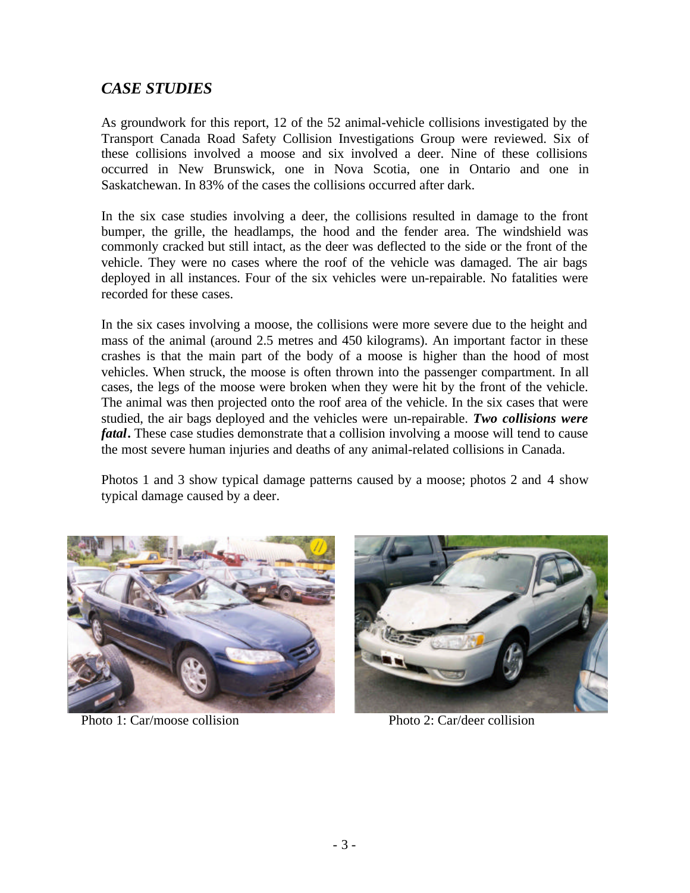## *CASE STUDIES*

As groundwork for this report, 12 of the 52 animal-vehicle collisions investigated by the Transport Canada Road Safety Collision Investigations Group were reviewed. Six of these collisions involved a moose and six involved a deer. Nine of these collisions occurred in New Brunswick, one in Nova Scotia, one in Ontario and one in Saskatchewan. In 83% of the cases the collisions occurred after dark.

In the six case studies involving a deer, the collisions resulted in damage to the front bumper, the grille, the headlamps, the hood and the fender area. The windshield was commonly cracked but still intact, as the deer was deflected to the side or the front of the vehicle. They were no cases where the roof of the vehicle was damaged. The air bags deployed in all instances. Four of the six vehicles were un-repairable. No fatalities were recorded for these cases.

In the six cases involving a moose, the collisions were more severe due to the height and mass of the animal (around 2.5 metres and 450 kilograms). An important factor in these crashes is that the main part of the body of a moose is higher than the hood of most vehicles. When struck, the moose is often thrown into the passenger compartment. In all cases, the legs of the moose were broken when they were hit by the front of the vehicle. The animal was then projected onto the roof area of the vehicle. In the six cases that were studied, the air bags deployed and the vehicles were un-repairable. *Two collisions were fatal***.** These case studies demonstrate that a collision involving a moose will tend to cause the most severe human injuries and deaths of any animal-related collisions in Canada.

Photos 1 and 3 show typical damage patterns caused by a moose; photos 2 and 4 show typical damage caused by a deer.



Photo 1: Car/moose collision Photo 2: Car/deer collision

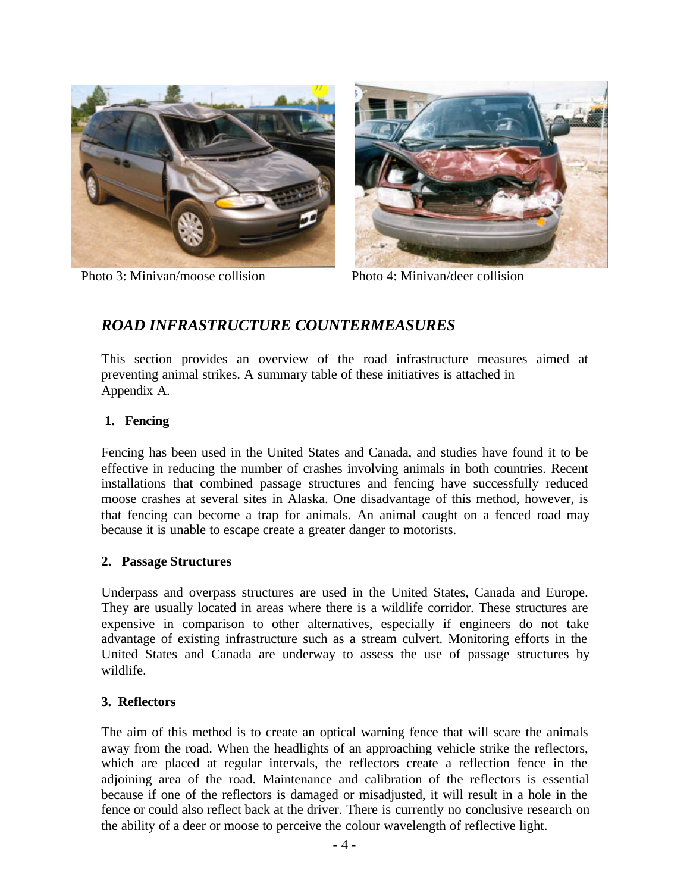



Photo 3: Minivan/moose collision Photo 4: Minivan/deer collision

## *ROAD INFRASTRUCTURE COUNTERMEASURES*

This section provides an overview of the road infrastructure measures aimed at preventing animal strikes. A summary table of these initiatives is attached in Appendix A.

#### **1. Fencing**

Fencing has been used in the United States and Canada, and studies have found it to be effective in reducing the number of crashes involving animals in both countries. Recent installations that combined passage structures and fencing have successfully reduced moose crashes at several sites in Alaska. One disadvantage of this method, however, is that fencing can become a trap for animals. An animal caught on a fenced road may because it is unable to escape create a greater danger to motorists.

#### **2. Passage Structures**

Underpass and overpass structures are used in the United States, Canada and Europe. They are usually located in areas where there is a wildlife corridor. These structures are expensive in comparison to other alternatives, especially if engineers do not take advantage of existing infrastructure such as a stream culvert. Monitoring efforts in the United States and Canada are underway to assess the use of passage structures by wildlife.

#### **3. Reflectors**

The aim of this method is to create an optical warning fence that will scare the animals away from the road. When the headlights of an approaching vehicle strike the reflectors, which are placed at regular intervals, the reflectors create a reflection fence in the adjoining area of the road. Maintenance and calibration of the reflectors is essential because if one of the reflectors is damaged or misadjusted, it will result in a hole in the fence or could also reflect back at the driver. There is currently no conclusive research on the ability of a deer or moose to perceive the colour wavelength of reflective light.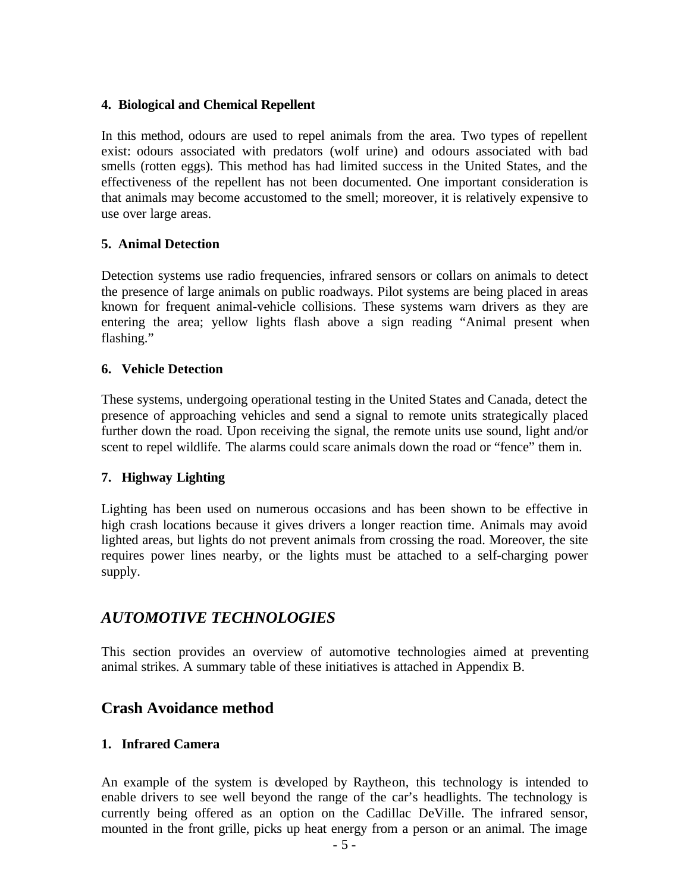#### **4. Biological and Chemical Repellent**

In this method, odours are used to repel animals from the area. Two types of repellent exist: odours associated with predators (wolf urine) and odours associated with bad smells (rotten eggs). This method has had limited success in the United States, and the effectiveness of the repellent has not been documented. One important consideration is that animals may become accustomed to the smell; moreover, it is relatively expensive to use over large areas.

#### **5. Animal Detection**

Detection systems use radio frequencies, infrared sensors or collars on animals to detect the presence of large animals on public roadways. Pilot systems are being placed in areas known for frequent animal-vehicle collisions. These systems warn drivers as they are entering the area; yellow lights flash above a sign reading "Animal present when flashing."

#### **6. Vehicle Detection**

These systems, undergoing operational testing in the United States and Canada, detect the presence of approaching vehicles and send a signal to remote units strategically placed further down the road. Upon receiving the signal, the remote units use sound, light and/or scent to repel wildlife. The alarms could scare animals down the road or "fence" them in.

#### **7. Highway Lighting**

Lighting has been used on numerous occasions and has been shown to be effective in high crash locations because it gives drivers a longer reaction time. Animals may avoid lighted areas, but lights do not prevent animals from crossing the road. Moreover, the site requires power lines nearby, or the lights must be attached to a self-charging power supply.

### *AUTOMOTIVE TECHNOLOGIES*

This section provides an overview of automotive technologies aimed at preventing animal strikes. A summary table of these initiatives is attached in Appendix B.

### **Crash Avoidance method**

#### **1. Infrared Camera**

An example of the system is developed by Raytheon, this technology is intended to enable drivers to see well beyond the range of the car's headlights. The technology is currently being offered as an option on the Cadillac DeVille. The infrared sensor, mounted in the front grille, picks up heat energy from a person or an animal. The image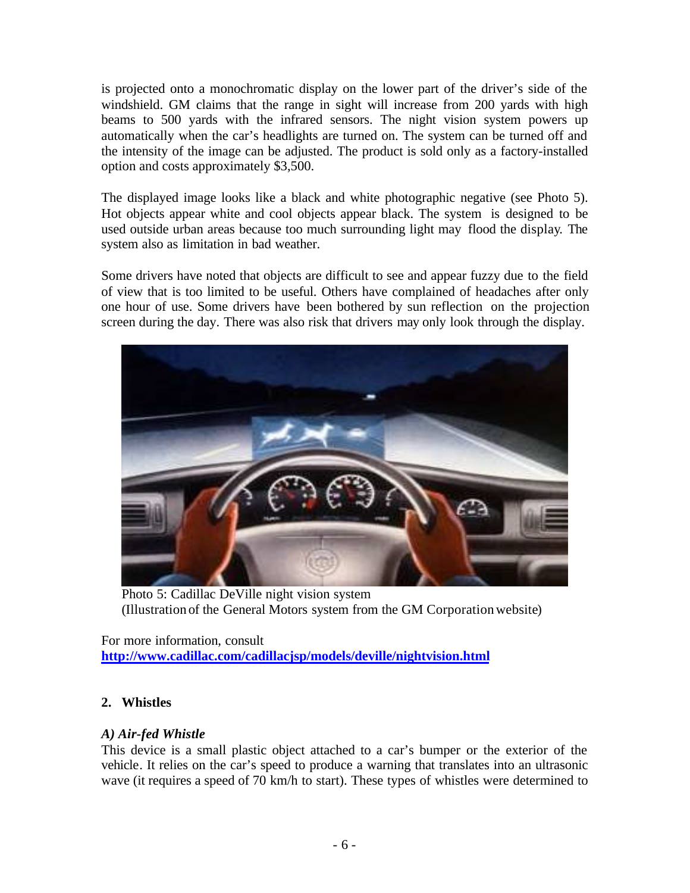is projected onto a monochromatic display on the lower part of the driver's side of the windshield. GM claims that the range in sight will increase from 200 yards with high beams to 500 yards with the infrared sensors. The night vision system powers up automatically when the car's headlights are turned on. The system can be turned off and the intensity of the image can be adjusted. The product is sold only as a factory-installed option and costs approximately \$3,500.

The displayed image looks like a black and white photographic negative (see Photo 5). Hot objects appear white and cool objects appear black. The system is designed to be used outside urban areas because too much surrounding light may flood the display. The system also as limitation in bad weather.

Some drivers have noted that objects are difficult to see and appear fuzzy due to the field of view that is too limited to be useful. Others have complained of headaches after only one hour of use. Some drivers have been bothered by sun reflection on the projection screen during the day. There was also risk that drivers may only look through the display.



Photo 5: Cadillac DeVille night vision system (Illustration of the General Motors system from the GM Corporation website)

For more information, consult **http://www.cadillac.com/cadillacjsp/models/deville/nightvision.html**

#### **2. Whistles**

#### *A) Air-fed Whistle*

This device is a small plastic object attached to a car's bumper or the exterior of the vehicle. It relies on the car's speed to produce a warning that translates into an ultrasonic wave (it requires a speed of 70 km/h to start). These types of whistles were determined to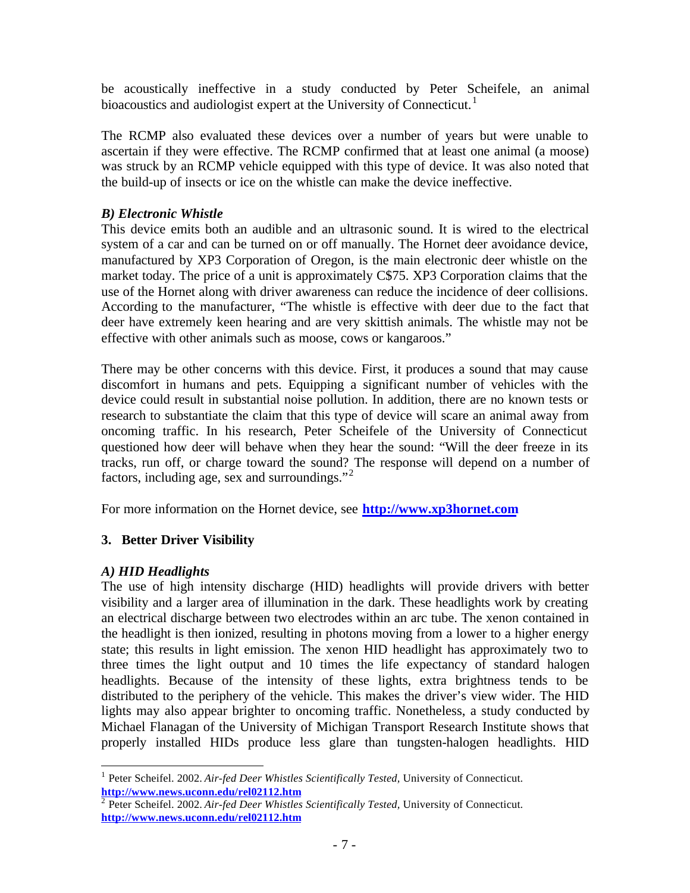be acoustically ineffective in a study conducted by Peter Scheifele, an animal bioacoustics and audiologist expert at the University of Connecticut.<sup>1</sup>

The RCMP also evaluated these devices over a number of years but were unable to ascertain if they were effective. The RCMP confirmed that at least one animal (a moose) was struck by an RCMP vehicle equipped with this type of device. It was also noted that the build-up of insects or ice on the whistle can make the device ineffective.

#### *B) Electronic Whistle*

This device emits both an audible and an ultrasonic sound. It is wired to the electrical system of a car and can be turned on or off manually. The Hornet deer avoidance device, manufactured by XP3 Corporation of Oregon, is the main electronic deer whistle on the market today. The price of a unit is approximately C\$75. XP3 Corporation claims that the use of the Hornet along with driver awareness can reduce the incidence of deer collisions. According to the manufacturer, "The whistle is effective with deer due to the fact that deer have extremely keen hearing and are very skittish animals. The whistle may not be effective with other animals such as moose, cows or kangaroos."

There may be other concerns with this device. First, it produces a sound that may cause discomfort in humans and pets. Equipping a significant number of vehicles with the device could result in substantial noise pollution. In addition, there are no known tests or research to substantiate the claim that this type of device will scare an animal away from oncoming traffic. In his research, Peter Scheifele of the University of Connecticut questioned how deer will behave when they hear the sound: "Will the deer freeze in its tracks, run off, or charge toward the sound? The response will depend on a number of factors, including age, sex and surroundings."<sup>2</sup>

For more information on the Hornet device, see **http://www.xp3hornet.com**

#### **3. Better Driver Visibility**

#### *A) HID Headlights*

The use of high intensity discharge (HID) headlights will provide drivers with better visibility and a larger area of illumination in the dark. These headlights work by creating an electrical discharge between two electrodes within an arc tube. The xenon contained in the headlight is then ionized, resulting in photons moving from a lower to a higher energy state; this results in light emission. The xenon HID headlight has approximately two to three times the light output and 10 times the life expectancy of standard halogen headlights. Because of the intensity of these lights, extra brightness tends to be distributed to the periphery of the vehicle. This makes the driver's view wider. The HID lights may also appear brighter to oncoming traffic. Nonetheless, a study conducted by Michael Flanagan of the University of Michigan Transport Research Institute shows that properly installed HIDs produce less glare than tungsten-halogen headlights. HID

 $\overline{a}$ <sup>1</sup> Peter Scheifel. 2002. Air-fed Deer Whistles Scientifically Tested, University of Connecticut. **http://www.news.uconn.edu/rel02112.htm** 2 Peter Scheifel. 2002. *Air-fed Deer Whistles Scientifically Tested,* University of Connecticut*.*

**http://www.news.uconn.edu/rel02112.htm**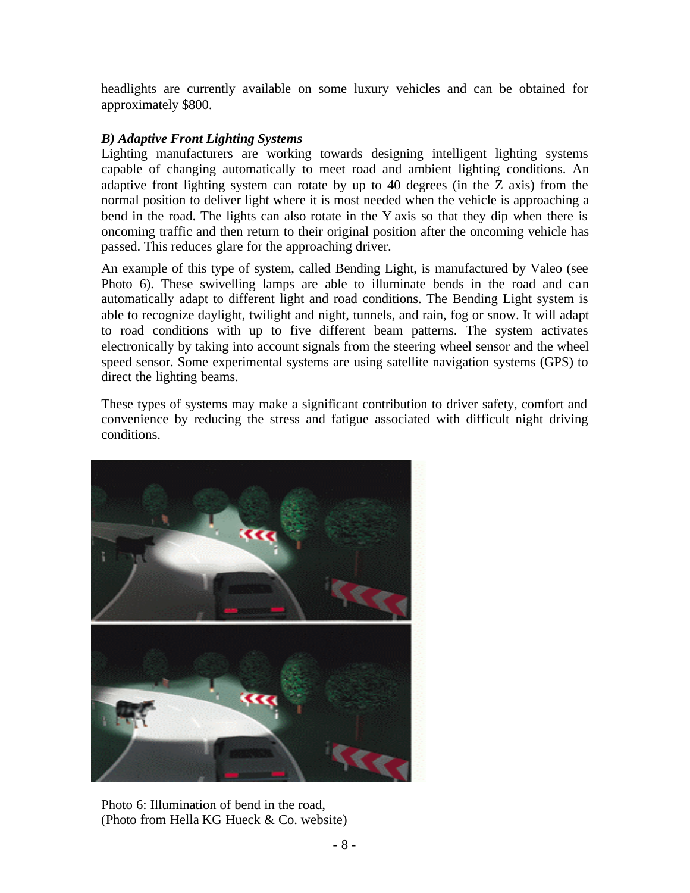headlights are currently available on some luxury vehicles and can be obtained for approximately \$800.

#### *B) Adaptive Front Lighting Systems*

Lighting manufacturers are working towards designing intelligent lighting systems capable of changing automatically to meet road and ambient lighting conditions. An adaptive front lighting system can rotate by up to 40 degrees (in the Z axis) from the normal position to deliver light where it is most needed when the vehicle is approaching a bend in the road. The lights can also rotate in the Y axis so that they dip when there is oncoming traffic and then return to their original position after the oncoming vehicle has passed. This reduces glare for the approaching driver.

An example of this type of system, called Bending Light, is manufactured by Valeo (see Photo 6). These swivelling lamps are able to illuminate bends in the road and can automatically adapt to different light and road conditions. The Bending Light system is able to recognize daylight, twilight and night, tunnels, and rain, fog or snow. It will adapt to road conditions with up to five different beam patterns. The system activates electronically by taking into account signals from the steering wheel sensor and the wheel speed sensor. Some experimental systems are using satellite navigation systems (GPS) to direct the lighting beams.

These types of systems may make a significant contribution to driver safety, comfort and convenience by reducing the stress and fatigue associated with difficult night driving conditions.



Photo 6: Illumination of bend in the road, (Photo from Hella KG Hueck & Co. website)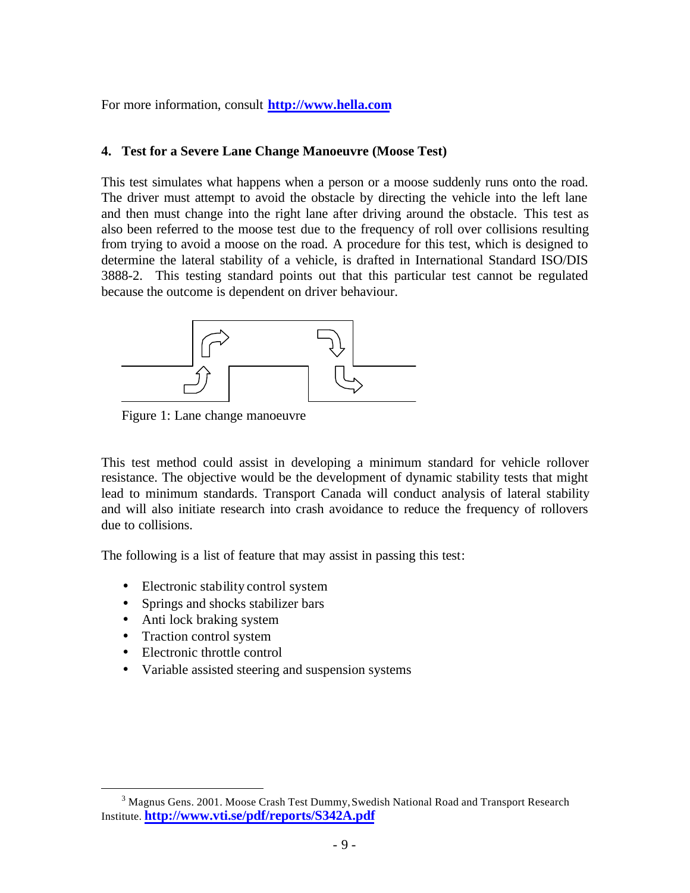For more information, consult **http://www.hella.com**

#### **4. Test for a Severe Lane Change Manoeuvre (Moose Test)**

This test simulates what happens when a person or a moose suddenly runs onto the road. The driver must attempt to avoid the obstacle by directing the vehicle into the left lane and then must change into the right lane after driving around the obstacle. This test as also been referred to the moose test due to the frequency of roll over collisions resulting from trying to avoid a moose on the road. A procedure for this test, which is designed to determine the lateral stability of a vehicle, is drafted in International Standard ISO/DIS 3888-2. This testing standard points out that this particular test cannot be regulated because the outcome is dependent on driver behaviour.



Figure 1: Lane change manoeuvre

This test method could assist in developing a minimum standard for vehicle rollover resistance. The objective would be the development of dynamic stability tests that might lead to minimum standards. Transport Canada will conduct analysis of lateral stability and will also initiate research into crash avoidance to reduce the frequency of rollovers due to collisions.

The following is a list of feature that may assist in passing this test:

- Electronic stability control system
- Springs and shocks stabilizer bars
- Anti lock braking system
- Traction control system

 $\overline{a}$ 

- Electronic throttle control
- Variable assisted steering and suspension systems

 $^3$  Magnus Gens. 2001. Moose Crash Test Dummy, Swedish National Road and Transport Research Institute. **http://www.vti.se/pdf/reports/S342A.pdf**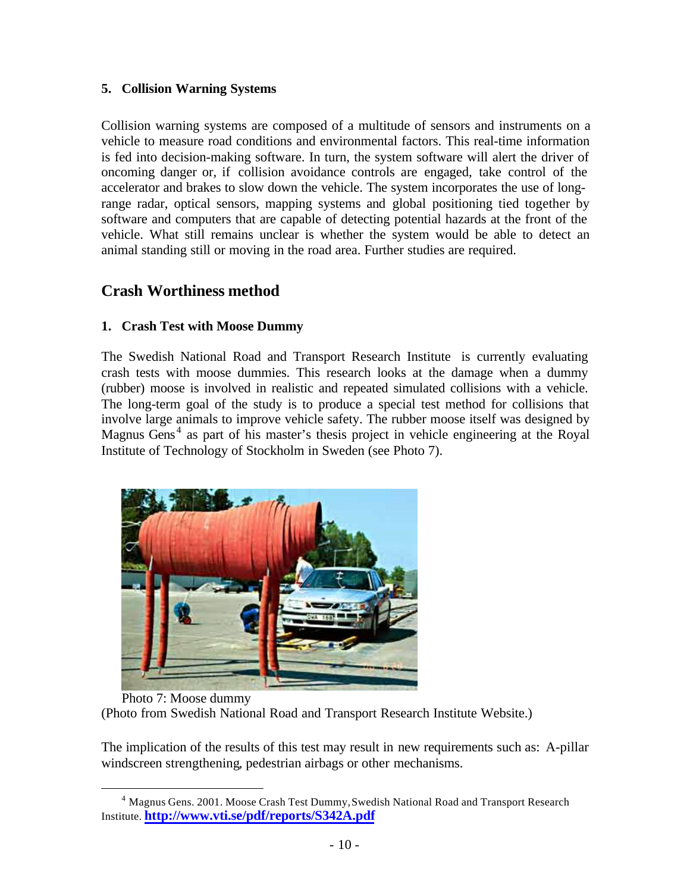#### **5. Collision Warning Systems**

Collision warning systems are composed of a multitude of sensors and instruments on a vehicle to measure road conditions and environmental factors. This real-time information is fed into decision-making software. In turn, the system software will alert the driver of oncoming danger or, if collision avoidance controls are engaged, take control of the accelerator and brakes to slow down the vehicle. The system incorporates the use of longrange radar, optical sensors, mapping systems and global positioning tied together by software and computers that are capable of detecting potential hazards at the front of the vehicle. What still remains unclear is whether the system would be able to detect an animal standing still or moving in the road area. Further studies are required.

### **Crash Worthiness method**

 $\overline{a}$ 

#### **1. Crash Test with Moose Dummy**

The Swedish National Road and Transport Research Institute is currently evaluating crash tests with moose dummies. This research looks at the damage when a dummy (rubber) moose is involved in realistic and repeated simulated collisions with a vehicle. The long-term goal of the study is to produce a special test method for collisions that involve large animals to improve vehicle safety. The rubber moose itself was designed by Magnus Gens<sup>4</sup> as part of his master's thesis project in vehicle engineering at the Royal Institute of Technology of Stockholm in Sweden (see Photo 7).



Photo 7: Moose dummy (Photo from Swedish National Road and Transport Research Institute Website.)

The implication of the results of this test may result in new requirements such as: A-pillar windscreen strengthening, pedestrian airbags or other mechanisms.

<sup>&</sup>lt;sup>4</sup> Magnus Gens. 2001. Moose Crash Test Dummy, Swedish National Road and Transport Research Institute. **http://www.vti.se/pdf/reports/S342A.pdf**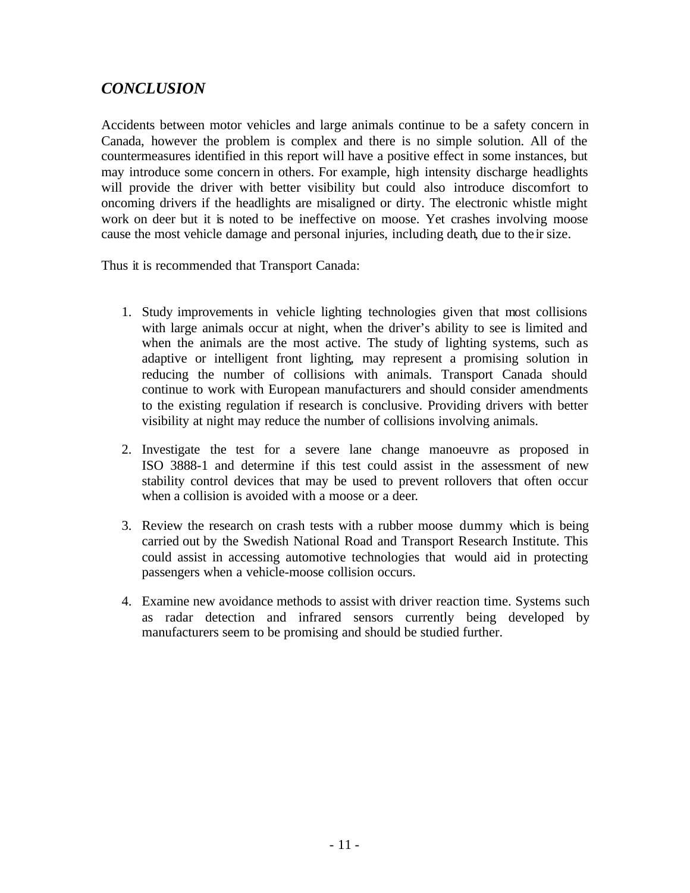## *CONCLUSION*

Accidents between motor vehicles and large animals continue to be a safety concern in Canada, however the problem is complex and there is no simple solution. All of the countermeasures identified in this report will have a positive effect in some instances, but may introduce some concern in others. For example, high intensity discharge headlights will provide the driver with better visibility but could also introduce discomfort to oncoming drivers if the headlights are misaligned or dirty. The electronic whistle might work on deer but it is noted to be ineffective on moose. Yet crashes involving moose cause the most vehicle damage and personal injuries, including death, due to their size.

Thus it is recommended that Transport Canada:

- 1. Study improvements in vehicle lighting technologies given that most collisions with large animals occur at night, when the driver's ability to see is limited and when the animals are the most active. The study of lighting systems, such as adaptive or intelligent front lighting, may represent a promising solution in reducing the number of collisions with animals. Transport Canada should continue to work with European manufacturers and should consider amendments to the existing regulation if research is conclusive. Providing drivers with better visibility at night may reduce the number of collisions involving animals.
- 2. Investigate the test for a severe lane change manoeuvre as proposed in ISO 3888-1 and determine if this test could assist in the assessment of new stability control devices that may be used to prevent rollovers that often occur when a collision is avoided with a moose or a deer.
- 3. Review the research on crash tests with a rubber moose dummy which is being carried out by the Swedish National Road and Transport Research Institute. This could assist in accessing automotive technologies that would aid in protecting passengers when a vehicle-moose collision occurs.
- 4. Examine new avoidance methods to assist with driver reaction time. Systems such as radar detection and infrared sensors currently being developed by manufacturers seem to be promising and should be studied further.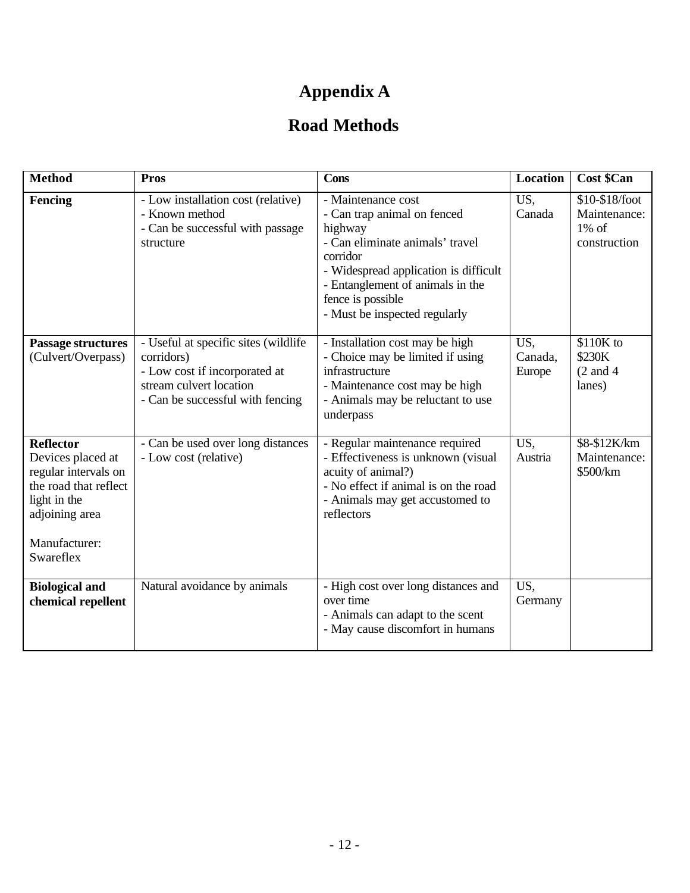# **Appendix A**

## **Road Methods**

| <b>Method</b>                                                                                                                                          | <b>Pros</b>                                                                                                                                        | <b>Cons</b>                                                                                                                                                                                                                                    | Location                 | <b>Cost \$Can</b>                                          |
|--------------------------------------------------------------------------------------------------------------------------------------------------------|----------------------------------------------------------------------------------------------------------------------------------------------------|------------------------------------------------------------------------------------------------------------------------------------------------------------------------------------------------------------------------------------------------|--------------------------|------------------------------------------------------------|
| Fencing                                                                                                                                                | - Low installation cost (relative)<br>- Known method<br>- Can be successful with passage<br>structure                                              | - Maintenance cost<br>- Can trap animal on fenced<br>highway<br>- Can eliminate animals' travel<br>corridor<br>- Widespread application is difficult<br>- Entanglement of animals in the<br>fence is possible<br>- Must be inspected regularly | US,<br>Canada            | \$10-\$18/foot<br>Maintenance:<br>$1\%$ of<br>construction |
| <b>Passage structures</b><br>(Culvert/Overpass)                                                                                                        | - Useful at specific sites (wildlife<br>corridors)<br>- Low cost if incorporated at<br>stream culvert location<br>- Can be successful with fencing | - Installation cost may be high<br>- Choice may be limited if using<br>infrastructure<br>- Maintenance cost may be high<br>- Animals may be reluctant to use<br>underpass                                                                      | US,<br>Canada,<br>Europe | \$110K to<br>\$230K<br>$(2 \text{ and } 4)$<br>lanes)      |
| <b>Reflector</b><br>Devices placed at<br>regular intervals on<br>the road that reflect<br>light in the<br>adjoining area<br>Manufacturer:<br>Swareflex | - Can be used over long distances<br>- Low cost (relative)                                                                                         | - Regular maintenance required<br>- Effectiveness is unknown (visual<br>acuity of animal?)<br>- No effect if animal is on the road<br>- Animals may get accustomed to<br>reflectors                                                            | US,<br>Austria           | \$8-\$12K/km<br>Maintenance:<br>\$500/km                   |
| <b>Biological and</b><br>chemical repellent                                                                                                            | Natural avoidance by animals                                                                                                                       | - High cost over long distances and<br>over time<br>- Animals can adapt to the scent<br>- May cause discomfort in humans                                                                                                                       | US,<br>Germany           |                                                            |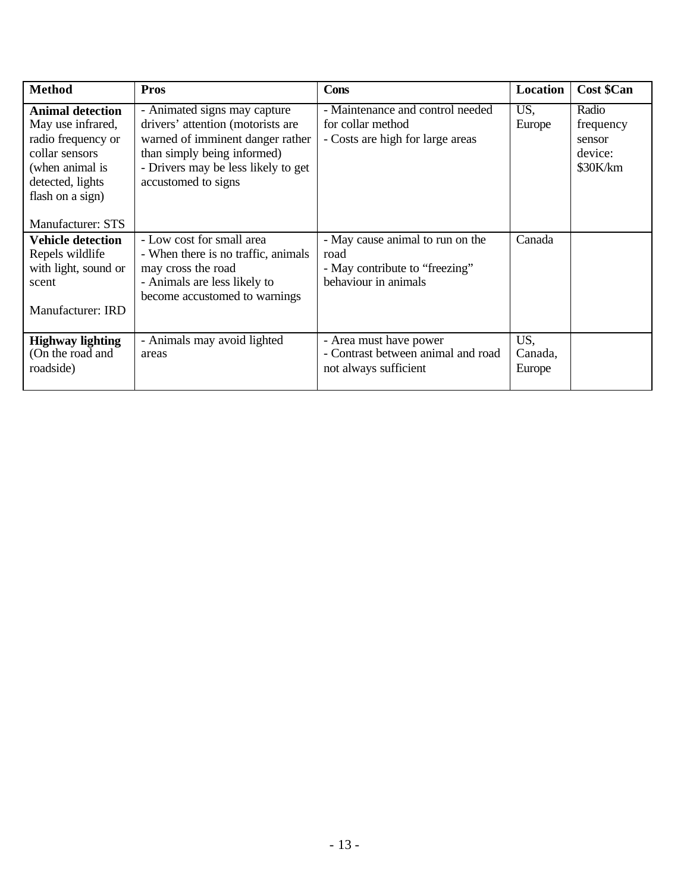| <b>Method</b>                                                                                                                                                               | <b>Pros</b>                                                                                                                                                                                        | <b>Cons</b>                                                                                        | Location                 | <b>Cost \$Can</b>                                   |
|-----------------------------------------------------------------------------------------------------------------------------------------------------------------------------|----------------------------------------------------------------------------------------------------------------------------------------------------------------------------------------------------|----------------------------------------------------------------------------------------------------|--------------------------|-----------------------------------------------------|
| <b>Animal detection</b><br>May use infrared,<br>radio frequency or<br>collar sensors<br>(when animal is<br>detected, lights<br>flash on a sign)<br><b>Manufacturer: STS</b> | - Animated signs may capture<br>drivers' attention (motorists are<br>warned of imminent danger rather<br>than simply being informed)<br>- Drivers may be less likely to get<br>accustomed to signs | - Maintenance and control needed<br>for collar method<br>- Costs are high for large areas          | US.<br>Europe            | Radio<br>frequency<br>sensor<br>device:<br>\$30K/km |
| <b>Vehicle detection</b><br>Repels wildlife<br>with light, sound or<br>scent<br><b>Manufacturer: IRD</b>                                                                    | - Low cost for small area<br>- When there is no traffic, animals<br>may cross the road<br>- Animals are less likely to<br>become accustomed to warnings                                            | - May cause animal to run on the<br>road<br>- May contribute to "freezing"<br>behaviour in animals | Canada                   |                                                     |
| <b>Highway lighting</b><br>(On the road and<br>roadside)                                                                                                                    | - Animals may avoid lighted<br>areas                                                                                                                                                               | - Area must have power<br>- Contrast between animal and road<br>not always sufficient              | US,<br>Canada,<br>Europe |                                                     |